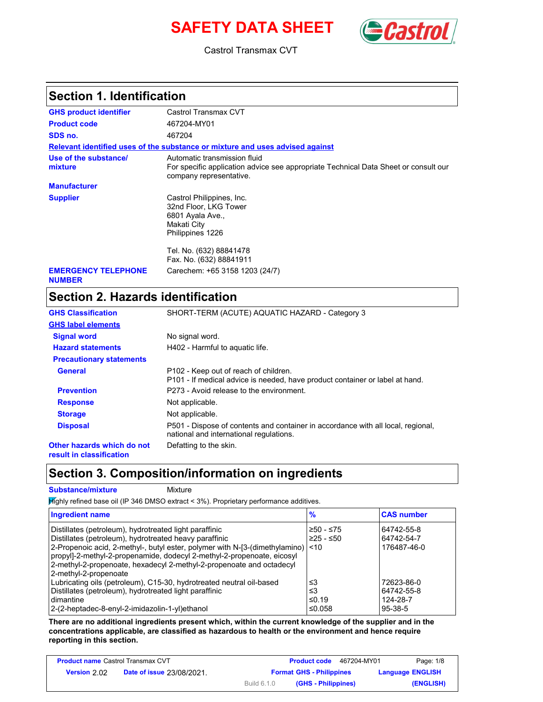# **SAFETY DATA SHEET** *Castro*



Castrol Transmax CVT

### **Section 1. Identification**

| <b>GHS product identifier</b>               | Castrol Transmax CVT                                                                                                                           |
|---------------------------------------------|------------------------------------------------------------------------------------------------------------------------------------------------|
| <b>Product code</b>                         | 467204-MY01                                                                                                                                    |
| SDS no.                                     | 467204                                                                                                                                         |
|                                             | Relevant identified uses of the substance or mixture and uses advised against                                                                  |
| Use of the substance/<br>mixture            | Automatic transmission fluid<br>For specific application advice see appropriate Technical Data Sheet or consult our<br>company representative. |
| <b>Manufacturer</b>                         |                                                                                                                                                |
| <b>Supplier</b>                             | Castrol Philippines, Inc.<br>32nd Floor, LKG Tower<br>6801 Ayala Ave.,<br>Makati City<br>Philippines 1226                                      |
|                                             | Tel. No. (632) 88841478<br>Fax. No. (632) 88841911                                                                                             |
| <b>EMERGENCY TELEPHONE</b><br><b>NUMBER</b> | Carechem: +65 3158 1203 (24/7)                                                                                                                 |

## **Section 2. Hazards identification**

| <b>GHS Classification</b>                              | SHORT-TERM (ACUTE) AQUATIC HAZARD - Category 3                                                                              |
|--------------------------------------------------------|-----------------------------------------------------------------------------------------------------------------------------|
| <b>GHS label elements</b>                              |                                                                                                                             |
| <b>Signal word</b>                                     | No signal word.                                                                                                             |
| <b>Hazard statements</b>                               | H402 - Harmful to aguatic life.                                                                                             |
| <b>Precautionary statements</b>                        |                                                                                                                             |
| General                                                | P102 - Keep out of reach of children.<br>P101 - If medical advice is needed, have product container or label at hand.       |
| <b>Prevention</b>                                      | P273 - Avoid release to the environment.                                                                                    |
| <b>Response</b>                                        | Not applicable.                                                                                                             |
| <b>Storage</b>                                         | Not applicable.                                                                                                             |
| <b>Disposal</b>                                        | P501 - Dispose of contents and container in accordance with all local, regional,<br>national and international regulations. |
| Other hazards which do not<br>result in classification | Defatting to the skin.                                                                                                      |

### **Section 3. Composition/information on ingredients**

| <b>Substance/mixture</b><br>Mixture                                                                                                                                                                                                                                                                                                                                            |                             |                                                   |
|--------------------------------------------------------------------------------------------------------------------------------------------------------------------------------------------------------------------------------------------------------------------------------------------------------------------------------------------------------------------------------|-----------------------------|---------------------------------------------------|
| $H$ and $y$ refined base oil (IP 346 DMSO extract < 3%). Proprietary performance additives.                                                                                                                                                                                                                                                                                    |                             |                                                   |
| <b>Ingredient name</b>                                                                                                                                                                                                                                                                                                                                                         | $\frac{9}{6}$               | <b>CAS number</b>                                 |
| Distillates (petroleum), hydrotreated light paraffinic<br>Distillates (petroleum), hydrotreated heavy paraffinic<br>2-Propenoic acid, 2-methyl-, butyl ester, polymer with N-[3-(dimethylamino) <10<br>propyl]-2-methyl-2-propenamide, dodecyl 2-methyl-2-propenoate, eicosyl<br>2-methyl-2-propenoate, hexadecyl 2-methyl-2-propenoate and octadecyl<br>2-methyl-2-propenoate | ≥50 - ≤75<br>$≥25 - ≤50$    | 64742-55-8<br>64742-54-7<br>176487-46-0           |
| Lubricating oils (petroleum), C15-30, hydrotreated neutral oil-based<br>Distillates (petroleum), hydrotreated light paraffinic<br>dimantine<br>2-(2-heptadec-8-enyl-2-imidazolin-1-yl)ethanol                                                                                                                                                                                  | ≤3<br>≤3<br>≤0.19<br>≤0.058 | 72623-86-0<br>64742-55-8<br>124-28-7<br>$95-38-5$ |

**There are no additional ingredients present which, within the current knowledge of the supplier and in the concentrations applicable, are classified as hazardous to health or the environment and hence require reporting in this section.**

| <b>Product name Castrol Transmax CVT</b> |                                  |                    | <b>Product code</b><br>467204-MY01 | Page: 1/8               |
|------------------------------------------|----------------------------------|--------------------|------------------------------------|-------------------------|
| Version 2.02                             | <b>Date of issue 23/08/2021.</b> |                    | <b>Format GHS - Philippines</b>    | <b>Language ENGLISH</b> |
|                                          |                                  | <b>Build 6.1.0</b> | (GHS - Philippines)                | (ENGLISH)               |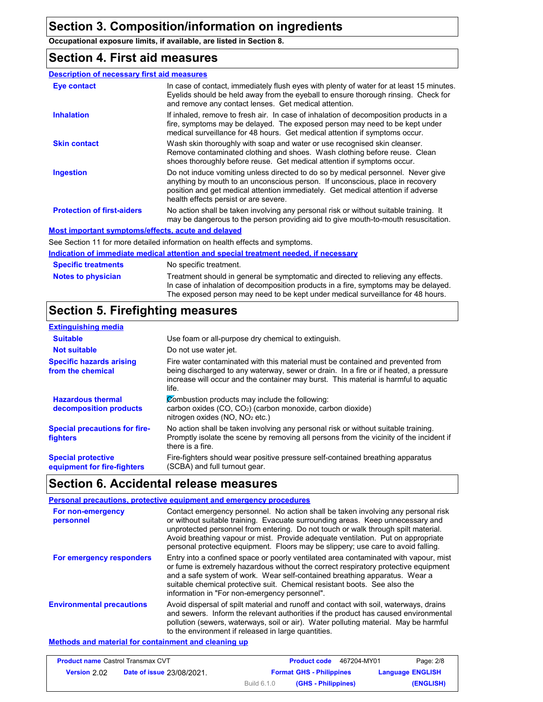**Occupational exposure limits, if available, are listed in Section 8.**

### **Section 4. First aid measures**

### **Description of necessary first aid measures**

| Eye contact                                        | In case of contact, immediately flush eyes with plenty of water for at least 15 minutes.<br>Eyelids should be held away from the eyeball to ensure thorough rinsing. Check for<br>and remove any contact lenses. Get medical attention.                                                        |
|----------------------------------------------------|------------------------------------------------------------------------------------------------------------------------------------------------------------------------------------------------------------------------------------------------------------------------------------------------|
| <b>Inhalation</b>                                  | If inhaled, remove to fresh air. In case of inhalation of decomposition products in a<br>fire, symptoms may be delayed. The exposed person may need to be kept under<br>medical surveillance for 48 hours. Get medical attention if symptoms occur.                                            |
| <b>Skin contact</b>                                | Wash skin thoroughly with soap and water or use recognised skin cleanser.<br>Remove contaminated clothing and shoes. Wash clothing before reuse. Clean<br>shoes thoroughly before reuse. Get medical attention if symptoms occur.                                                              |
| <b>Ingestion</b>                                   | Do not induce vomiting unless directed to do so by medical personnel. Never give<br>anything by mouth to an unconscious person. If unconscious, place in recovery<br>position and get medical attention immediately. Get medical attention if adverse<br>health effects persist or are severe. |
| <b>Protection of first-aiders</b>                  | No action shall be taken involving any personal risk or without suitable training. It<br>may be dangerous to the person providing aid to give mouth-to-mouth resuscitation.                                                                                                                    |
| Mest important ormatomoloffects, coute and delayed |                                                                                                                                                                                                                                                                                                |

#### **Most important symptoms/effects, acute and delayed**

See Section 11 for more detailed information on health effects and symptoms.

#### **Notes to physician Specific treatments Indication of immediate medical attention and special treatment needed, if necessary** No specific treatment. Treatment should in general be symptomatic and directed to relieving any effects. In case of inhalation of decomposition products in a fire, symptoms may be delayed. The exposed person may need to be kept under medical surveillance for 48 hours.

### **Section 5. Firefighting measures**

| <b>Extinguishing media</b>                               |                                                                                                                                                                                                                                                                          |
|----------------------------------------------------------|--------------------------------------------------------------------------------------------------------------------------------------------------------------------------------------------------------------------------------------------------------------------------|
| <b>Suitable</b>                                          | Use foam or all-purpose dry chemical to extinguish.                                                                                                                                                                                                                      |
| <b>Not suitable</b>                                      | Do not use water jet.                                                                                                                                                                                                                                                    |
| <b>Specific hazards arising</b><br>from the chemical     | Fire water contaminated with this material must be contained and prevented from<br>being discharged to any waterway, sewer or drain. In a fire or if heated, a pressure<br>increase will occur and the container may burst. This material is harmful to aquatic<br>life. |
| <b>Hazardous thermal</b><br>decomposition products       | Combustion products may include the following:<br>carbon oxides $(CO, CO2)$ (carbon monoxide, carbon dioxide)<br>nitrogen oxides ( $NO$ , $NO2$ etc.)                                                                                                                    |
| <b>Special precautions for fire-</b><br>fighters         | No action shall be taken involving any personal risk or without suitable training.<br>Promptly isolate the scene by removing all persons from the vicinity of the incident if<br>there is a fire.                                                                        |
| <b>Special protective</b><br>equipment for fire-fighters | Fire-fighters should wear positive pressure self-contained breathing apparatus<br>(SCBA) and full turnout gear.                                                                                                                                                          |

### **Section 6. Accidental release measures**

|                                  | Personal precautions, protective equipment and emergency procedures                                                                                                                                                                                                                                                                                                                                                               |
|----------------------------------|-----------------------------------------------------------------------------------------------------------------------------------------------------------------------------------------------------------------------------------------------------------------------------------------------------------------------------------------------------------------------------------------------------------------------------------|
| For non-emergency<br>personnel   | Contact emergency personnel. No action shall be taken involving any personal risk<br>or without suitable training. Evacuate surrounding areas. Keep unnecessary and<br>unprotected personnel from entering. Do not touch or walk through spilt material.<br>Avoid breathing vapour or mist. Provide adequate ventilation. Put on appropriate<br>personal protective equipment. Floors may be slippery; use care to avoid falling. |
| For emergency responders         | Entry into a confined space or poorly ventilated area contaminated with vapour, mist<br>or fume is extremely hazardous without the correct respiratory protective equipment<br>and a safe system of work. Wear self-contained breathing apparatus. Wear a<br>suitable chemical protective suit. Chemical resistant boots. See also the<br>information in "For non-emergency personnel".                                           |
| <b>Environmental precautions</b> | Avoid dispersal of spilt material and runoff and contact with soil, waterways, drains<br>and sewers. Inform the relevant authorities if the product has caused environmental<br>pollution (sewers, waterways, soil or air). Water polluting material. May be harmful<br>to the environment if released in large quantities.                                                                                                       |

#### **Methods and material for containment and cleaning up**

| <b>Product name Castrol Transmax CVT</b> |                                  |                    | <b>Product code</b><br>467204-MY01 | Page: 2/8               |
|------------------------------------------|----------------------------------|--------------------|------------------------------------|-------------------------|
| <b>Version 202</b>                       | <b>Date of issue 23/08/2021.</b> |                    | <b>Format GHS - Philippines</b>    | <b>Language ENGLISH</b> |
|                                          |                                  | <b>Build 6.1.0</b> | (GHS - Philippines)                | (ENGLISH)               |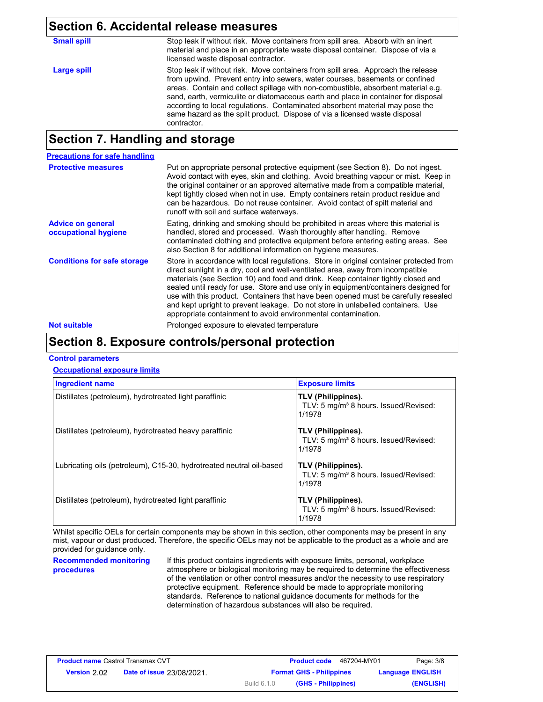| <b>Section 6. Accidental release measures</b> |                                                                                                                                                                                                                                                                                                                                                                                                                                                                                                                          |  |
|-----------------------------------------------|--------------------------------------------------------------------------------------------------------------------------------------------------------------------------------------------------------------------------------------------------------------------------------------------------------------------------------------------------------------------------------------------------------------------------------------------------------------------------------------------------------------------------|--|
| <b>Small spill</b>                            | Stop leak if without risk. Move containers from spill area. Absorb with an inert<br>material and place in an appropriate waste disposal container. Dispose of via a<br>licensed waste disposal contractor.                                                                                                                                                                                                                                                                                                               |  |
| <b>Large spill</b>                            | Stop leak if without risk. Move containers from spill area. Approach the release<br>from upwind. Prevent entry into sewers, water courses, basements or confined<br>areas. Contain and collect spillage with non-combustible, absorbent material e.g.<br>sand, earth, vermiculite or diatomaceous earth and place in container for disposal<br>according to local regulations. Contaminated absorbent material may pose the<br>same hazard as the spilt product. Dispose of via a licensed waste disposal<br>contractor. |  |

### **Section 7. Handling and storage**

| <b>Precautions for safe handling</b>             |                                                                                                                                                                                                                                                                                                                                                                                                                                                                                                                                                                                                |
|--------------------------------------------------|------------------------------------------------------------------------------------------------------------------------------------------------------------------------------------------------------------------------------------------------------------------------------------------------------------------------------------------------------------------------------------------------------------------------------------------------------------------------------------------------------------------------------------------------------------------------------------------------|
| <b>Protective measures</b>                       | Put on appropriate personal protective equipment (see Section 8). Do not ingest.<br>Avoid contact with eyes, skin and clothing. Avoid breathing vapour or mist. Keep in<br>the original container or an approved alternative made from a compatible material,<br>kept tightly closed when not in use. Empty containers retain product residue and<br>can be hazardous. Do not reuse container. Avoid contact of spilt material and<br>runoff with soil and surface waterways.                                                                                                                  |
| <b>Advice on general</b><br>occupational hygiene | Eating, drinking and smoking should be prohibited in areas where this material is<br>handled, stored and processed. Wash thoroughly after handling. Remove<br>contaminated clothing and protective equipment before entering eating areas. See<br>also Section 8 for additional information on hygiene measures.                                                                                                                                                                                                                                                                               |
| <b>Conditions for safe storage</b>               | Store in accordance with local regulations. Store in original container protected from<br>direct sunlight in a dry, cool and well-ventilated area, away from incompatible<br>materials (see Section 10) and food and drink. Keep container tightly closed and<br>sealed until ready for use. Store and use only in equipment/containers designed for<br>use with this product. Containers that have been opened must be carefully resealed<br>and kept upright to prevent leakage. Do not store in unlabelled containers. Use<br>appropriate containment to avoid environmental contamination. |
| <b>Not suitable</b>                              | Prolonged exposure to elevated temperature                                                                                                                                                                                                                                                                                                                                                                                                                                                                                                                                                     |

### **Section 8. Exposure controls/personal protection**

### **Control parameters**

### **Occupational exposure limits**

| <b>Ingredient name</b>                                               | <b>Exposure limits</b>                                                            |
|----------------------------------------------------------------------|-----------------------------------------------------------------------------------|
| Distillates (petroleum), hydrotreated light paraffinic               | TLV (Philippines).<br>TLV: 5 mg/m <sup>3</sup> 8 hours. Issued/Revised:<br>1/1978 |
| Distillates (petroleum), hydrotreated heavy paraffinic               | TLV (Philippines).<br>TLV: 5 mg/m <sup>3</sup> 8 hours. Issued/Revised:<br>1/1978 |
| Lubricating oils (petroleum), C15-30, hydrotreated neutral oil-based | TLV (Philippines).<br>TLV: 5 mg/m <sup>3</sup> 8 hours. Issued/Revised:<br>1/1978 |
| Distillates (petroleum), hydrotreated light paraffinic               | TLV (Philippines).<br>TLV: 5 mg/m <sup>3</sup> 8 hours. Issued/Revised:<br>1/1978 |

Whilst specific OELs for certain components may be shown in this section, other components may be present in any mist, vapour or dust produced. Therefore, the specific OELs may not be applicable to the product as a whole and are provided for guidance only.

**Recommended monitoring procedures**

If this product contains ingredients with exposure limits, personal, workplace atmosphere or biological monitoring may be required to determine the effectiveness of the ventilation or other control measures and/or the necessity to use respiratory protective equipment. Reference should be made to appropriate monitoring standards. Reference to national guidance documents for methods for the determination of hazardous substances will also be required.

| <b>Product name Castrol Transmax CVT</b> |                                  |             | 467204-MY01<br><b>Product code</b> | Page: 3/8               |
|------------------------------------------|----------------------------------|-------------|------------------------------------|-------------------------|
| Version 2.02                             | <b>Date of issue 23/08/2021.</b> |             | <b>Format GHS - Philippines</b>    | <b>Language ENGLISH</b> |
|                                          |                                  | Build 6.1.0 | (GHS - Philippines)                | (ENGLISH)               |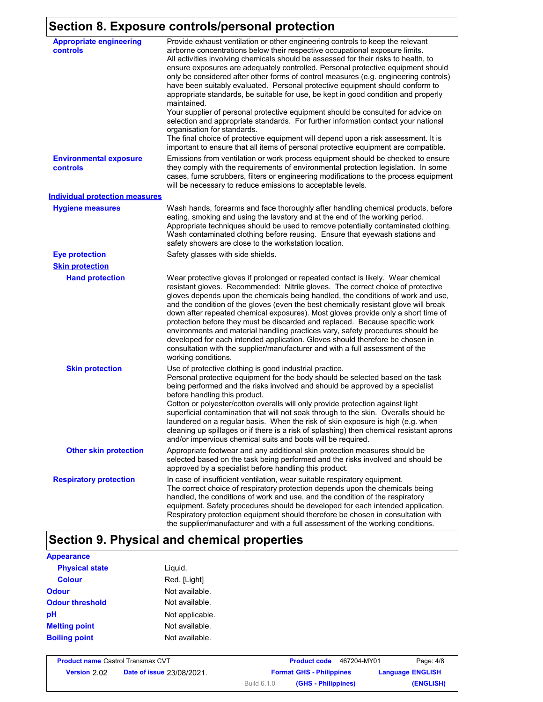## **Section 8. Exposure controls/personal protection**

| <b>Appropriate engineering</b><br>controls | Provide exhaust ventilation or other engineering controls to keep the relevant<br>airborne concentrations below their respective occupational exposure limits.<br>All activities involving chemicals should be assessed for their risks to health, to<br>ensure exposures are adequately controlled. Personal protective equipment should<br>only be considered after other forms of control measures (e.g. engineering controls)<br>have been suitably evaluated. Personal protective equipment should conform to<br>appropriate standards, be suitable for use, be kept in good condition and properly<br>maintained.<br>Your supplier of personal protective equipment should be consulted for advice on<br>selection and appropriate standards. For further information contact your national<br>organisation for standards.<br>The final choice of protective equipment will depend upon a risk assessment. It is<br>important to ensure that all items of personal protective equipment are compatible. |
|--------------------------------------------|---------------------------------------------------------------------------------------------------------------------------------------------------------------------------------------------------------------------------------------------------------------------------------------------------------------------------------------------------------------------------------------------------------------------------------------------------------------------------------------------------------------------------------------------------------------------------------------------------------------------------------------------------------------------------------------------------------------------------------------------------------------------------------------------------------------------------------------------------------------------------------------------------------------------------------------------------------------------------------------------------------------|
| <b>Environmental exposure</b><br>controls  | Emissions from ventilation or work process equipment should be checked to ensure<br>they comply with the requirements of environmental protection legislation. In some<br>cases, fume scrubbers, filters or engineering modifications to the process equipment<br>will be necessary to reduce emissions to acceptable levels.                                                                                                                                                                                                                                                                                                                                                                                                                                                                                                                                                                                                                                                                                 |
| <b>Individual protection measures</b>      |                                                                                                                                                                                                                                                                                                                                                                                                                                                                                                                                                                                                                                                                                                                                                                                                                                                                                                                                                                                                               |
| <b>Hygiene measures</b>                    | Wash hands, forearms and face thoroughly after handling chemical products, before<br>eating, smoking and using the lavatory and at the end of the working period.<br>Appropriate techniques should be used to remove potentially contaminated clothing.<br>Wash contaminated clothing before reusing. Ensure that eyewash stations and<br>safety showers are close to the workstation location.                                                                                                                                                                                                                                                                                                                                                                                                                                                                                                                                                                                                               |
| <b>Eye protection</b>                      | Safety glasses with side shields.                                                                                                                                                                                                                                                                                                                                                                                                                                                                                                                                                                                                                                                                                                                                                                                                                                                                                                                                                                             |
| <b>Skin protection</b>                     |                                                                                                                                                                                                                                                                                                                                                                                                                                                                                                                                                                                                                                                                                                                                                                                                                                                                                                                                                                                                               |
| <b>Hand protection</b>                     | Wear protective gloves if prolonged or repeated contact is likely. Wear chemical<br>resistant gloves. Recommended: Nitrile gloves. The correct choice of protective<br>gloves depends upon the chemicals being handled, the conditions of work and use,<br>and the condition of the gloves (even the best chemically resistant glove will break<br>down after repeated chemical exposures). Most gloves provide only a short time of<br>protection before they must be discarded and replaced. Because specific work<br>environments and material handling practices vary, safety procedures should be<br>developed for each intended application. Gloves should therefore be chosen in<br>consultation with the supplier/manufacturer and with a full assessment of the<br>working conditions.                                                                                                                                                                                                               |
| <b>Skin protection</b>                     | Use of protective clothing is good industrial practice.<br>Personal protective equipment for the body should be selected based on the task<br>being performed and the risks involved and should be approved by a specialist<br>before handling this product.<br>Cotton or polyester/cotton overalls will only provide protection against light<br>superficial contamination that will not soak through to the skin. Overalls should be<br>laundered on a regular basis. When the risk of skin exposure is high (e.g. when<br>cleaning up spillages or if there is a risk of splashing) then chemical resistant aprons<br>and/or impervious chemical suits and boots will be required.                                                                                                                                                                                                                                                                                                                         |
| <b>Other skin protection</b>               | Appropriate footwear and any additional skin protection measures should be<br>selected based on the task being performed and the risks involved and should be<br>approved by a specialist before handling this product.                                                                                                                                                                                                                                                                                                                                                                                                                                                                                                                                                                                                                                                                                                                                                                                       |
| <b>Respiratory protection</b>              | In case of insufficient ventilation, wear suitable respiratory equipment.<br>The correct choice of respiratory protection depends upon the chemicals being<br>handled, the conditions of work and use, and the condition of the respiratory<br>equipment. Safety procedures should be developed for each intended application.<br>Respiratory protection equipment should therefore be chosen in consultation with<br>the supplier/manufacturer and with a full assessment of the working conditions.                                                                                                                                                                                                                                                                                                                                                                                                                                                                                                         |

# **Section 9. Physical and chemical properties**

| <b>Appearance</b>      |                 |
|------------------------|-----------------|
| <b>Physical state</b>  | Liguid.         |
| <b>Colour</b>          | Red. [Light]    |
| <b>Odour</b>           | Not available.  |
| <b>Odour threshold</b> | Not available.  |
| pH                     | Not applicable. |
| <b>Melting point</b>   | Not available.  |
| <b>Boiling point</b>   | Not available.  |

| <b>Product name Castrol Transmax CVT</b> |                                  |                    | <b>Product code</b>             | 467204-MY01 | Page: 4/8               |
|------------------------------------------|----------------------------------|--------------------|---------------------------------|-------------|-------------------------|
| Version 2.02                             | <b>Date of issue 23/08/2021.</b> |                    | <b>Format GHS - Philippines</b> |             | <b>Language ENGLISH</b> |
|                                          |                                  | <b>Build 6.1.0</b> | (GHS - Philippines)             |             | (ENGLISH)               |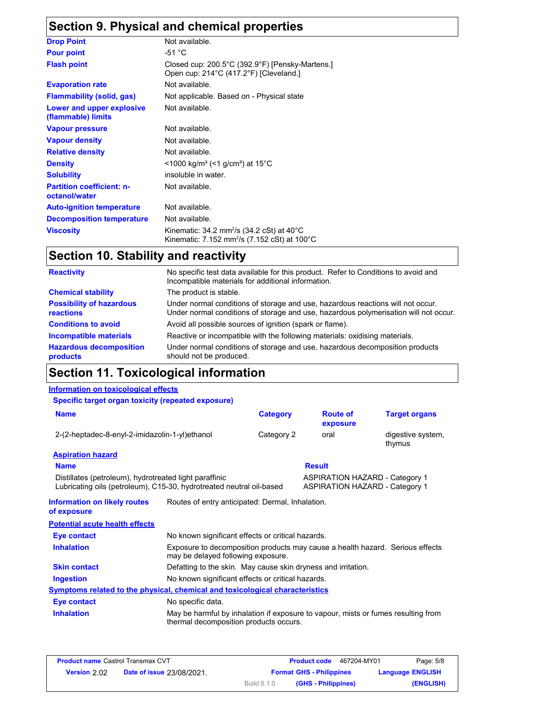## **Section 9. Physical and chemical properties**

| <b>Drop Point</b>                                 | Not available.                                                                                                    |
|---------------------------------------------------|-------------------------------------------------------------------------------------------------------------------|
| <b>Pour point</b>                                 | -51 °C                                                                                                            |
| <b>Flash point</b>                                | Closed cup: 200.5°C (392.9°F) [Pensky-Martens.]<br>Open cup: 214°C (417.2°F) [Cleveland.]                         |
| <b>Evaporation rate</b>                           | Not available.                                                                                                    |
| <b>Flammability (solid, gas)</b>                  | Not applicable. Based on - Physical state                                                                         |
| Lower and upper explosive<br>(flammable) limits   | Not available.                                                                                                    |
| <b>Vapour pressure</b>                            | Not available.                                                                                                    |
| <b>Vapour density</b>                             | Not available.                                                                                                    |
| <b>Relative density</b>                           | Not available.                                                                                                    |
| <b>Density</b>                                    | <1000 kg/m <sup>3</sup> (<1 g/cm <sup>3</sup> ) at 15 <sup>°</sup> C                                              |
| <b>Solubility</b>                                 | insoluble in water.                                                                                               |
| <b>Partition coefficient: n-</b><br>octanol/water | Not available.                                                                                                    |
| <b>Auto-ignition temperature</b>                  | Not available.                                                                                                    |
| <b>Decomposition temperature</b>                  | Not available.                                                                                                    |
| <b>Viscosity</b>                                  | Kinematic: 34.2 mm <sup>2</sup> /s (34.2 cSt) at 40°C<br>Kinematic: 7.152 mm <sup>2</sup> /s (7.152 cSt) at 100°C |

## **Section 10. Stability and reactivity**

| <b>Reactivity</b>                            | No specific test data available for this product. Refer to Conditions to avoid and<br>Incompatible materials for additional information.                                |  |
|----------------------------------------------|-------------------------------------------------------------------------------------------------------------------------------------------------------------------------|--|
| <b>Chemical stability</b>                    | The product is stable.                                                                                                                                                  |  |
| <b>Possibility of hazardous</b><br>reactions | Under normal conditions of storage and use, hazardous reactions will not occur.<br>Under normal conditions of storage and use, hazardous polymerisation will not occur. |  |
| <b>Conditions to avoid</b>                   | Avoid all possible sources of ignition (spark or flame).                                                                                                                |  |
| Incompatible materials                       | Reactive or incompatible with the following materials: oxidising materials.                                                                                             |  |
| <b>Hazardous decomposition</b><br>products   | Under normal conditions of storage and use, hazardous decomposition products<br>should not be produced.                                                                 |  |

## **Section 11. Toxicological information**

### **Information on toxicological effects**

**Specific target organ toxicity (repeated exposure)**

| <b>Name</b>                                                                                                                    |                                                                                                                             | <b>Category</b> |               | <b>Route of</b><br>exposure                                                    | <b>Target organs</b>        |
|--------------------------------------------------------------------------------------------------------------------------------|-----------------------------------------------------------------------------------------------------------------------------|-----------------|---------------|--------------------------------------------------------------------------------|-----------------------------|
| 2-(2-heptadec-8-enyl-2-imidazolin-1-yl)ethanol                                                                                 |                                                                                                                             | Category 2      |               | oral                                                                           | digestive system,<br>thymus |
| <b>Aspiration hazard</b>                                                                                                       |                                                                                                                             |                 |               |                                                                                |                             |
| <b>Name</b>                                                                                                                    |                                                                                                                             |                 | <b>Result</b> |                                                                                |                             |
| Distillates (petroleum), hydrotreated light paraffinic<br>Lubricating oils (petroleum), C15-30, hydrotreated neutral oil-based |                                                                                                                             |                 |               | <b>ASPIRATION HAZARD - Category 1</b><br><b>ASPIRATION HAZARD - Category 1</b> |                             |
| <b>Information on likely routes</b><br>of exposure                                                                             | Routes of entry anticipated: Dermal, Inhalation.                                                                            |                 |               |                                                                                |                             |
| <b>Potential acute health effects</b>                                                                                          |                                                                                                                             |                 |               |                                                                                |                             |
| Eye contact                                                                                                                    | No known significant effects or critical hazards.                                                                           |                 |               |                                                                                |                             |
| <b>Inhalation</b>                                                                                                              | Exposure to decomposition products may cause a health hazard. Serious effects<br>may be delayed following exposure.         |                 |               |                                                                                |                             |
| <b>Skin contact</b>                                                                                                            | Defatting to the skin. May cause skin dryness and irritation.                                                               |                 |               |                                                                                |                             |
| <b>Ingestion</b>                                                                                                               | No known significant effects or critical hazards.                                                                           |                 |               |                                                                                |                             |
| <b>Symptoms related to the physical, chemical and toxicological characteristics</b>                                            |                                                                                                                             |                 |               |                                                                                |                             |
| Eye contact                                                                                                                    | No specific data.                                                                                                           |                 |               |                                                                                |                             |
| <b>Inhalation</b>                                                                                                              | May be harmful by inhalation if exposure to vapour, mists or fumes resulting from<br>thermal decomposition products occurs. |                 |               |                                                                                |                             |

| <b>Product name Castrol Transmax CVT</b> |                                  |             | 467204-MY01<br><b>Product code</b> | Page: 5/8               |
|------------------------------------------|----------------------------------|-------------|------------------------------------|-------------------------|
| Version 2.02                             | <b>Date of issue 23/08/2021.</b> |             | <b>Format GHS - Philippines</b>    | <b>Language ENGLISH</b> |
|                                          |                                  | Build 6.1.0 | (GHS - Philippines)                | (ENGLISH)               |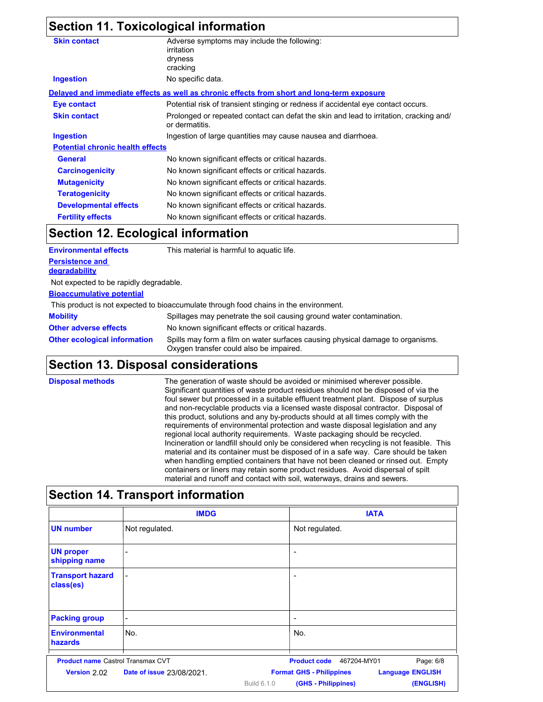### **Section 11. Toxicological information**

| <b>Skin contact</b>                     | Adverse symptoms may include the following:<br>irritation<br>dryness<br>cracking                         |  |
|-----------------------------------------|----------------------------------------------------------------------------------------------------------|--|
| <b>Ingestion</b>                        | No specific data.                                                                                        |  |
|                                         | Delayed and immediate effects as well as chronic effects from short and long-term exposure               |  |
| Eye contact                             | Potential risk of transient stinging or redness if accidental eye contact occurs.                        |  |
| <b>Skin contact</b>                     | Prolonged or repeated contact can defat the skin and lead to irritation, cracking and/<br>or dermatitis. |  |
| <b>Ingestion</b>                        | Ingestion of large quantities may cause nausea and diarrhoea.                                            |  |
| <b>Potential chronic health effects</b> |                                                                                                          |  |
| General                                 | No known significant effects or critical hazards.                                                        |  |
| <b>Carcinogenicity</b>                  | No known significant effects or critical hazards.                                                        |  |
| <b>Mutagenicity</b>                     | No known significant effects or critical hazards.                                                        |  |
| <b>Teratogenicity</b>                   | No known significant effects or critical hazards.                                                        |  |
| <b>Developmental effects</b>            | No known significant effects or critical hazards.                                                        |  |
| <b>Fertility effects</b>                | No known significant effects or critical hazards.                                                        |  |

### **Section 12. Ecological information**

| <b>Environmental effects</b>            | This material is harmful to aquatic life.                                                                                 |
|-----------------------------------------|---------------------------------------------------------------------------------------------------------------------------|
| <b>Persistence and</b><br>degradability |                                                                                                                           |
| Not expected to be rapidly degradable.  |                                                                                                                           |
| <b>Bioaccumulative potential</b>        |                                                                                                                           |
|                                         | This product is not expected to bioaccumulate through food chains in the environment.                                     |
| <b>Mobility</b>                         | Spillages may penetrate the soil causing ground water contamination.                                                      |
| <b>Other adverse effects</b>            | No known significant effects or critical hazards.                                                                         |
| <b>Other ecological information</b>     | Spills may form a film on water surfaces causing physical damage to organisms.<br>Oxygen transfer could also be impaired. |

### **Section 13. Disposal considerations**

**Disposal methods** The generation of waste should be avoided or minimised wherever possible. Significant quantities of waste product residues should not be disposed of via the foul sewer but processed in a suitable effluent treatment plant. Dispose of surplus and non-recyclable products via a licensed waste disposal contractor. Disposal of this product, solutions and any by-products should at all times comply with the requirements of environmental protection and waste disposal legislation and any regional local authority requirements. Waste packaging should be recycled. Incineration or landfill should only be considered when recycling is not feasible. This material and its container must be disposed of in a safe way. Care should be taken when handling emptied containers that have not been cleaned or rinsed out. Empty containers or liners may retain some product residues. Avoid dispersal of spilt material and runoff and contact with soil, waterways, drains and sewers.

|                                          | <b>IMDG</b>                      | <b>IATA</b>                                                |
|------------------------------------------|----------------------------------|------------------------------------------------------------|
| <b>UN number</b>                         | Not regulated.                   | Not regulated.                                             |
| <b>UN proper</b><br>shipping name        |                                  |                                                            |
| <b>Transport hazard</b><br>class(es)     |                                  | ۰                                                          |
| <b>Packing group</b>                     |                                  | ۰                                                          |
| <b>Environmental</b><br><b>hazards</b>   | No.                              | No.                                                        |
| <b>Product name Castrol Transmax CVT</b> |                                  | Page: 6/8<br><b>Product code</b><br>467204-MY01            |
| Version 2.02                             | <b>Date of issue 23/08/2021.</b> | <b>Language ENGLISH</b><br><b>Format GHS - Philippines</b> |
|                                          |                                  | <b>Build 6.1.0</b><br>(GHS - Philippines)<br>(ENGLISH)     |

## **Section 14. Transport information**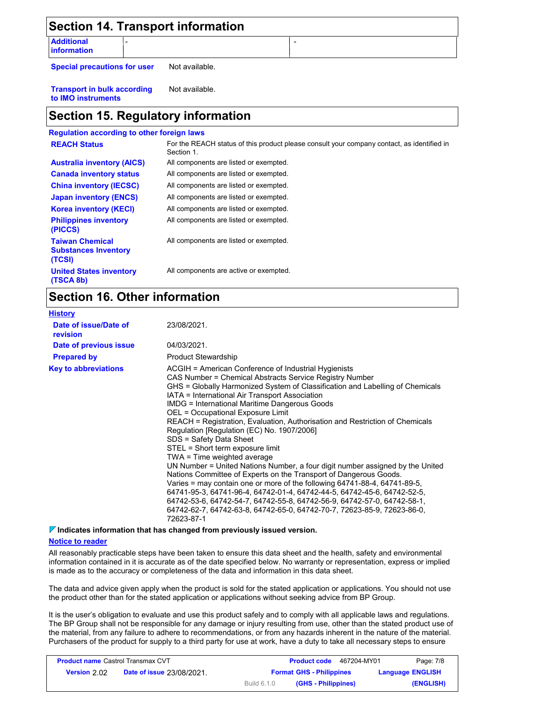| <b>Section 14. Transport information</b> |                |  |
|------------------------------------------|----------------|--|
| <b>Additional</b><br><b>Information</b>  |                |  |
| <b>Special precautions for user</b>      | Not available. |  |

**Transport in bulk according to IMO instruments** Not available.

### **Section 15. Regulatory information**

#### **Regulation according to other foreign laws** All components are active or exempted. All components are listed or exempted. All components are listed or exempted. All components are listed or exempted. All components are listed or exempted. All components are listed or exempted. All components are listed or exempted. **United States inventory (TSCA 8b) Philippines inventory (PICCS) China inventory (IECSC) Canada inventory status Australia inventory (AICS) Korea inventory (KECI) Japan inventory (ENCS) REACH Status** For the REACH status of this product please consult your company contact, as identified in Section 1. **Taiwan Chemical Substances Inventory (TCSI)** All components are listed or exempted.

### **Section 16. Other information**

| <b>History</b>                    |                                                                                                                                                                                                                                                                                                                                                                                                                                                                                                                                                                                                                                                                                                                                                                                                                                                                                                                                                                                                                                                               |
|-----------------------------------|---------------------------------------------------------------------------------------------------------------------------------------------------------------------------------------------------------------------------------------------------------------------------------------------------------------------------------------------------------------------------------------------------------------------------------------------------------------------------------------------------------------------------------------------------------------------------------------------------------------------------------------------------------------------------------------------------------------------------------------------------------------------------------------------------------------------------------------------------------------------------------------------------------------------------------------------------------------------------------------------------------------------------------------------------------------|
| Date of issue/Date of<br>revision | 23/08/2021.                                                                                                                                                                                                                                                                                                                                                                                                                                                                                                                                                                                                                                                                                                                                                                                                                                                                                                                                                                                                                                                   |
| Date of previous issue            | 04/03/2021.                                                                                                                                                                                                                                                                                                                                                                                                                                                                                                                                                                                                                                                                                                                                                                                                                                                                                                                                                                                                                                                   |
| <b>Prepared by</b>                | <b>Product Stewardship</b>                                                                                                                                                                                                                                                                                                                                                                                                                                                                                                                                                                                                                                                                                                                                                                                                                                                                                                                                                                                                                                    |
| <b>Key to abbreviations</b>       | ACGIH = American Conference of Industrial Hygienists<br>CAS Number = Chemical Abstracts Service Registry Number<br>GHS = Globally Harmonized System of Classification and Labelling of Chemicals<br>IATA = International Air Transport Association<br><b>IMDG = International Maritime Dangerous Goods</b><br>OEL = Occupational Exposure Limit<br>REACH = Registration, Evaluation, Authorisation and Restriction of Chemicals<br>Regulation [Regulation (EC) No. 1907/2006]<br>SDS = Safety Data Sheet<br>STEL = Short term exposure limit<br>TWA = Time weighted average<br>UN Number = United Nations Number, a four digit number assigned by the United<br>Nations Committee of Experts on the Transport of Dangerous Goods.<br>Varies = may contain one or more of the following 64741-88-4, 64741-89-5,<br>64741-95-3, 64741-96-4, 64742-01-4, 64742-44-5, 64742-45-6, 64742-52-5,<br>64742-53-6, 64742-54-7, 64742-55-8, 64742-56-9, 64742-57-0, 64742-58-1,<br>64742-62-7, 64742-63-8, 64742-65-0, 64742-70-7, 72623-85-9, 72623-86-0,<br>72623-87-1 |

**Indicates information that has changed from previously issued version.**

### **Notice to reader**

All reasonably practicable steps have been taken to ensure this data sheet and the health, safety and environmental information contained in it is accurate as of the date specified below. No warranty or representation, express or implied is made as to the accuracy or completeness of the data and information in this data sheet.

The data and advice given apply when the product is sold for the stated application or applications. You should not use the product other than for the stated application or applications without seeking advice from BP Group.

It is the user's obligation to evaluate and use this product safely and to comply with all applicable laws and regulations. The BP Group shall not be responsible for any damage or injury resulting from use, other than the stated product use of the material, from any failure to adhere to recommendations, or from any hazards inherent in the nature of the material. Purchasers of the product for supply to a third party for use at work, have a duty to take all necessary steps to ensure

| <b>Product name Castrol Transmax CVT</b> |                                  |                                 | 467204-MY01<br><b>Product code</b> | Page: 7/8               |
|------------------------------------------|----------------------------------|---------------------------------|------------------------------------|-------------------------|
| Version 2.02                             | <b>Date of issue 23/08/2021.</b> | <b>Format GHS - Philippines</b> |                                    | <b>Language ENGLISH</b> |
|                                          |                                  | <b>Build 6.1.0</b>              | (GHS - Philippines)                | (ENGLISH)               |